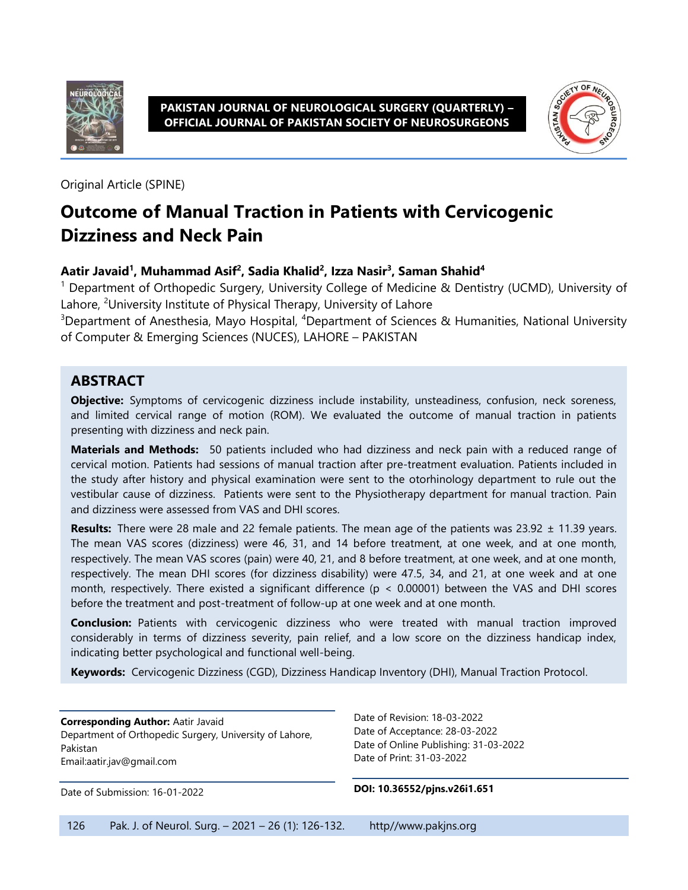

**PAKISTAN JOURNAL OF NEUROLOGICAL SURGERY (QUARTERLY) – OFFICIAL JOURNAL OF PAKISTAN SOCIETY OF NEUROSURGEONS**



Original Article (SPINE)

# **Outcome of Manual Traction in Patients with Cervicogenic Dizziness and Neck Pain**

#### **Aatir Javaid<sup>1</sup> , Muhammad Asif<sup>2</sup> , Sadia Khalid<sup>2</sup> , Izza Nasir<sup>3</sup> , Saman Shahid<sup>4</sup>**

<sup>1</sup> Department of Orthopedic Surgery, University College of Medicine & Dentistry (UCMD), University of Lahore, <sup>2</sup>University Institute of Physical Therapy, University of Lahore

<sup>3</sup>Department of Anesthesia, Mayo Hospital, <sup>4</sup>Department of Sciences & Humanities, National University of Computer & Emerging Sciences (NUCES), LAHORE – PAKISTAN

### **ABSTRACT**

**Objective:** Symptoms of cervicogenic dizziness include instability, unsteadiness, confusion, neck soreness, and limited cervical range of motion (ROM). We evaluated the outcome of manual traction in patients presenting with dizziness and neck pain.

**Materials and Methods:** 50 patients included who had dizziness and neck pain with a reduced range of cervical motion. Patients had sessions of manual traction after pre-treatment evaluation. Patients included in the study after history and physical examination were sent to the otorhinology department to rule out the vestibular cause of dizziness. Patients were sent to the Physiotherapy department for manual traction. Pain and dizziness were assessed from VAS and DHI scores.

**Results:** There were 28 male and 22 female patients. The mean age of the patients was 23.92 ± 11.39 years. The mean VAS scores (dizziness) were 46, 31, and 14 before treatment, at one week, and at one month, respectively. The mean VAS scores (pain) were 40, 21, and 8 before treatment, at one week, and at one month, respectively. The mean DHI scores (for dizziness disability) were 47.5, 34, and 21, at one week and at one month, respectively. There existed a significant difference (p < 0.00001) between the VAS and DHI scores before the treatment and post-treatment of follow-up at one week and at one month.

**Conclusion:** Patients with cervicogenic dizziness who were treated with manual traction improved considerably in terms of dizziness severity, pain relief, and a low score on the dizziness handicap index, indicating better psychological and functional well-being.

**Keywords:** Cervicogenic Dizziness (CGD), Dizziness Handicap Inventory (DHI), Manual Traction Protocol.

**Corresponding Author:** Aatir Javaid Department of Orthopedic Surgery, University of Lahore, Pakistan Emai[l:aatir.jav@gmail.com](mailto:aatir.jav@gmail.com)

Date of Submission: 16-01-2022

Date of Revision: 18-03-2022 Date of Acceptance: 28-03-2022 Date of Online Publishing: 31-03-2022 Date of Print: 31-03-2022

**DOI: 10.36552/pjns.v26i1.651**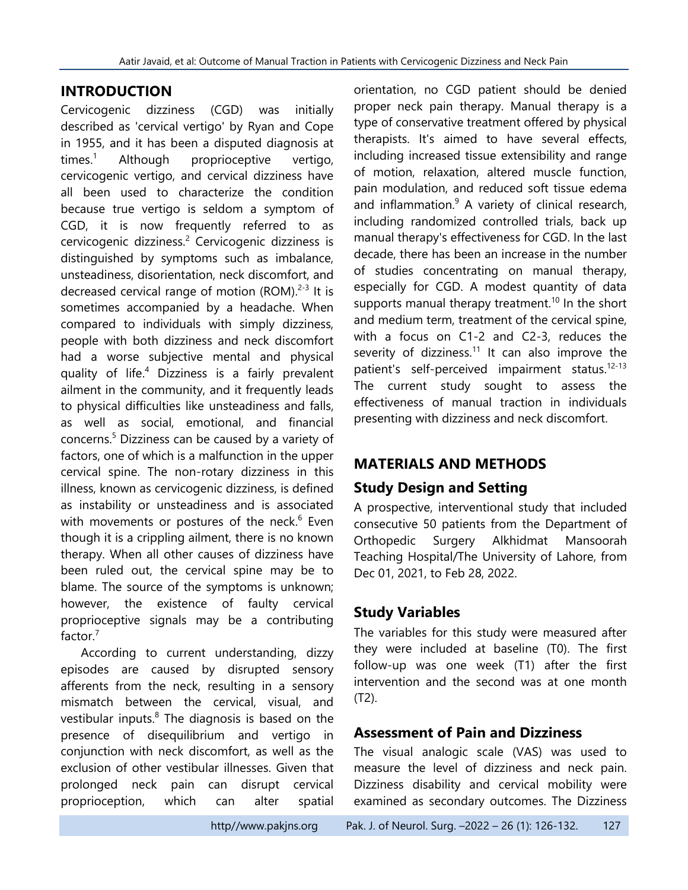### **INTRODUCTION**

Cervicogenic dizziness (CGD) was initially described as 'cervical vertigo' by Ryan and Cope in 1955, and it has been a disputed diagnosis at times.<sup>1</sup> Although proprioceptive vertigo, cervicogenic vertigo, and cervical dizziness have all been used to characterize the condition because true vertigo is seldom a symptom of CGD, it is now frequently referred to as cervicogenic dizziness. <sup>2</sup> Cervicogenic dizziness is distinguished by symptoms such as imbalance, unsteadiness, disorientation, neck discomfort, and decreased cervical range of motion (ROM).<sup>2-3</sup> It is sometimes accompanied by a headache. When compared to individuals with simply dizziness, people with both dizziness and neck discomfort had a worse subjective mental and physical quality of life. <sup>4</sup> Dizziness is a fairly prevalent ailment in the community, and it frequently leads to physical difficulties like unsteadiness and falls, as well as social, emotional, and financial concerns. <sup>5</sup> Dizziness can be caused by a variety of factors, one of which is a malfunction in the upper cervical spine. The non-rotary dizziness in this illness, known as cervicogenic dizziness, is defined as instability or unsteadiness and is associated with movements or postures of the neck.<sup>6</sup> Even though it is a crippling ailment, there is no known therapy. When all other causes of dizziness have been ruled out, the cervical spine may be to blame. The source of the symptoms is unknown; however, the existence of faulty cervical proprioceptive signals may be a contributing factor. 7

According to current understanding, dizzy episodes are caused by disrupted sensory afferents from the neck, resulting in a sensory mismatch between the cervical, visual, and vestibular inputs.<sup>8</sup> The diagnosis is based on the presence of disequilibrium and vertigo in conjunction with neck discomfort, as well as the exclusion of other vestibular illnesses. Given that prolonged neck pain can disrupt cervical proprioception, which can alter spatial orientation, no CGD patient should be denied proper neck pain therapy. Manual therapy is a type of conservative treatment offered by physical therapists. It's aimed to have several effects, including increased tissue extensibility and range of motion, relaxation, altered muscle function, pain modulation, and reduced soft tissue edema and inflammation. <sup>9</sup> A variety of clinical research, including randomized controlled trials, back up manual therapy's effectiveness for CGD. In the last decade, there has been an increase in the number of studies concentrating on manual therapy, especially for CGD. A modest quantity of data supports manual therapy treatment.<sup>10</sup> In the short and medium term, treatment of the cervical spine, with a focus on C1-2 and C2-3, reduces the severity of dizziness.<sup>11</sup> It can also improve the patient's self-perceived impairment status.<sup>12-13</sup> The current study sought to assess the effectiveness of manual traction in individuals presenting with dizziness and neck discomfort.

# **MATERIALS AND METHODS**

# **Study Design and Setting**

A prospective, interventional study that included consecutive 50 patients from the Department of Orthopedic Surgery Alkhidmat Mansoorah Teaching Hospital/The University of Lahore, from Dec 01, 2021, to Feb 28, 2022.

# **Study Variables**

The variables for this study were measured after they were included at baseline (T0). The first follow-up was one week (T1) after the first intervention and the second was at one month (T2).

# **Assessment of Pain and Dizziness**

The visual analogic scale (VAS) was used to measure the level of dizziness and neck pain. Dizziness disability and cervical mobility were examined as secondary outcomes. The Dizziness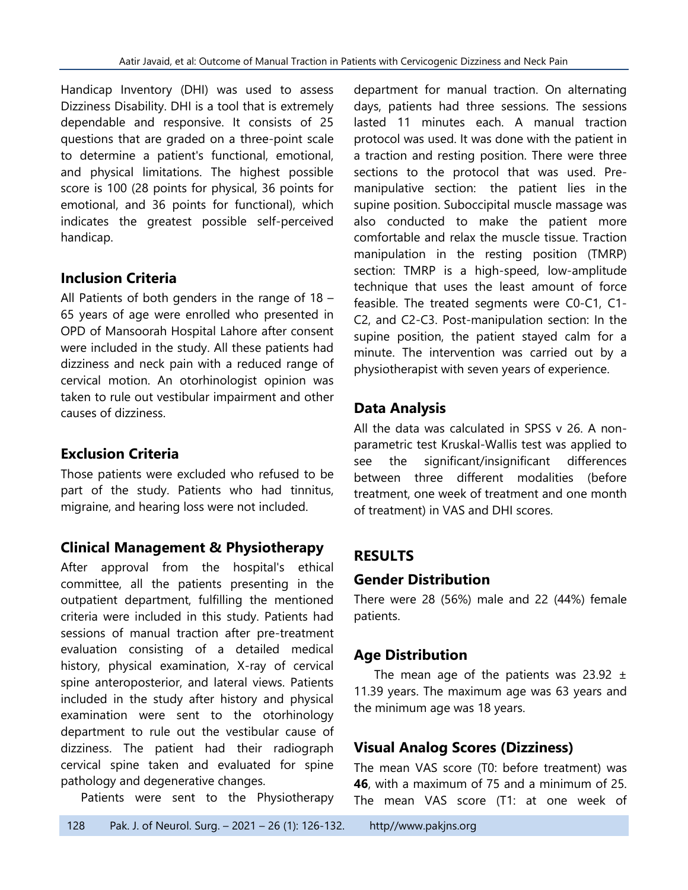Handicap Inventory (DHI) was used to assess Dizziness Disability. DHI is a tool that is extremely dependable and responsive. It consists of 25 questions that are graded on a three-point scale to determine a patient's functional, emotional, and physical limitations. The highest possible score is 100 (28 points for physical, 36 points for emotional, and 36 points for functional), which indicates the greatest possible self-perceived handicap.

# **Inclusion Criteria**

All Patients of both genders in the range of 18 – 65 years of age were enrolled who presented in OPD of Mansoorah Hospital Lahore after consent were included in the study. All these patients had dizziness and neck pain with a reduced range of cervical motion. An otorhinologist opinion was taken to rule out vestibular impairment and other causes of dizziness.

# **Exclusion Criteria**

Those patients were excluded who refused to be part of the study. Patients who had tinnitus, migraine, and hearing loss were not included.

# **Clinical Management & Physiotherapy**

After approval from the hospital's ethical committee, all the patients presenting in the outpatient department, fulfilling the mentioned criteria were included in this study. Patients had sessions of manual traction after pre-treatment evaluation consisting of a detailed medical history, physical examination, X-ray of cervical spine anteroposterior, and lateral views. Patients included in the study after history and physical examination were sent to the otorhinology department to rule out the vestibular cause of dizziness. The patient had their radiograph cervical spine taken and evaluated for spine pathology and degenerative changes.

Patients were sent to the Physiotherapy

department for manual traction. On alternating days, patients had three sessions. The sessions lasted 11 minutes each. A manual traction protocol was used. It was done with the patient in a traction and resting position. There were three sections to the protocol that was used. Premanipulative section: the patient lies in the supine position. Suboccipital muscle massage was also conducted to make the patient more comfortable and relax the muscle tissue. Traction manipulation in the resting position (TMRP) section: TMRP is a high-speed, low-amplitude technique that uses the least amount of force feasible. The treated segments were C0-C1, C1- C2, and C2-C3. Post-manipulation section: In the supine position, the patient stayed calm for a minute. The intervention was carried out by a physiotherapist with seven years of experience.

# **Data Analysis**

All the data was calculated in SPSS v 26. A nonparametric test Kruskal-Wallis test was applied to see the significant/insignificant differences between three different modalities (before treatment, one week of treatment and one month of treatment) in VAS and DHI scores.

# **RESULTS**

# **Gender Distribution**

There were 28 (56%) male and 22 (44%) female patients.

# **Age Distribution**

The mean age of the patients was  $23.92 \pm 1$ 11.39 years. The maximum age was 63 years and the minimum age was 18 years.

# **Visual Analog Scores (Dizziness)**

The mean VAS score (T0: before treatment) was **46**, with a maximum of 75 and a minimum of 25. The mean VAS score (T1: at one week of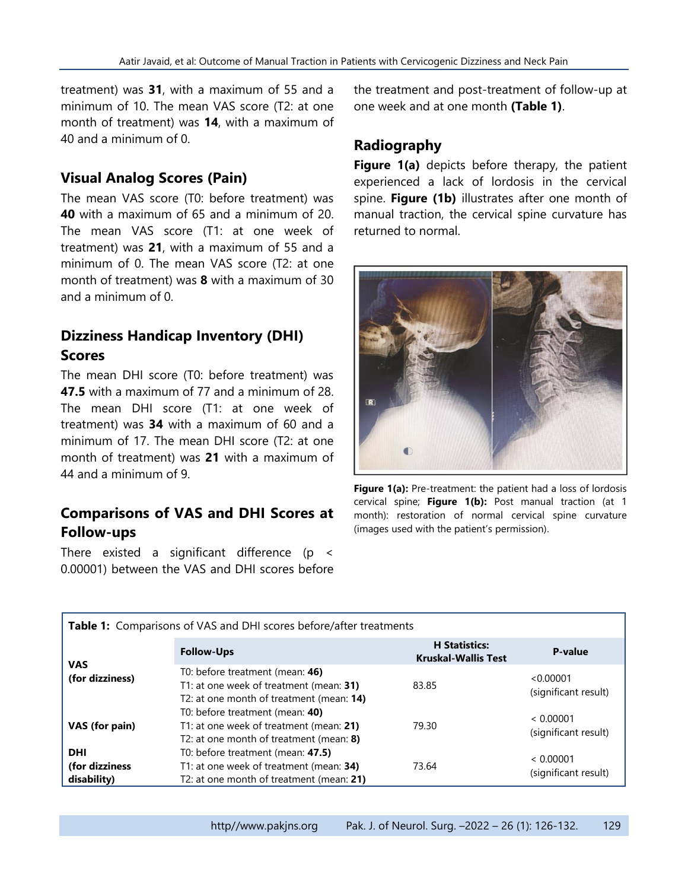treatment) was **31**, with a maximum of 55 and a minimum of 10. The mean VAS score (T2: at one month of treatment) was **14**, with a maximum of 40 and a minimum of 0.

#### **Visual Analog Scores (Pain)**

The mean VAS score (T0: before treatment) was **40** with a maximum of 65 and a minimum of 20. The mean VAS score (T1: at one week of treatment) was **21**, with a maximum of 55 and a minimum of 0. The mean VAS score (T2: at one month of treatment) was **8** with a maximum of 30 and a minimum of 0.

### **Dizziness Handicap Inventory (DHI) Scores**

The mean DHI score (T0: before treatment) was **47.5** with a maximum of 77 and a minimum of 28. The mean DHI score (T1: at one week of treatment) was **34** with a maximum of 60 and a minimum of 17. The mean DHI score (T2: at one month of treatment) was **21** with a maximum of 44 and a minimum of 9.

# **Comparisons of VAS and DHI Scores at Follow-ups**

There existed a significant difference (p < 0.00001) between the VAS and DHI scores before the treatment and post-treatment of follow-up at one week and at one month **(Table 1)**.

#### **Radiography**

**Figure 1(a)** depicts before therapy, the patient experienced a lack of lordosis in the cervical spine. **Figure (1b)** illustrates after one month of manual traction, the cervical spine curvature has returned to normal.



Figure 1(a): Pre-treatment: the patient had a loss of lordosis cervical spine; **Figure 1(b):** Post manual traction (at 1 month): restoration of normal cervical spine curvature (images used with the patient's permission).

| Table 1: Comparisons of VAS and DHI scores before/after treatments |                                                                                                                          |                                                    |                                   |  |
|--------------------------------------------------------------------|--------------------------------------------------------------------------------------------------------------------------|----------------------------------------------------|-----------------------------------|--|
| <b>VAS</b><br>(for dizziness)                                      | <b>Follow-Ups</b>                                                                                                        | <b>H</b> Statistics:<br><b>Kruskal-Wallis Test</b> | P-value                           |  |
|                                                                    | T0: before treatment (mean: 46)<br>T1: at one week of treatment (mean: 31)<br>T2: at one month of treatment (mean: 14)   | 83.85                                              | < 0.00001<br>(significant result) |  |
| VAS (for pain)                                                     | T0: before treatment (mean: 40)<br>T1: at one week of treatment (mean: 21)<br>T2: at one month of treatment (mean: 8)    | 79.30                                              | < 0.00001<br>(significant result) |  |
| <b>DHI</b><br>(for dizziness<br>disability)                        | T0: before treatment (mean: 47.5)<br>T1: at one week of treatment (mean: 34)<br>T2: at one month of treatment (mean: 21) | 73.64                                              | < 0.00001<br>(significant result) |  |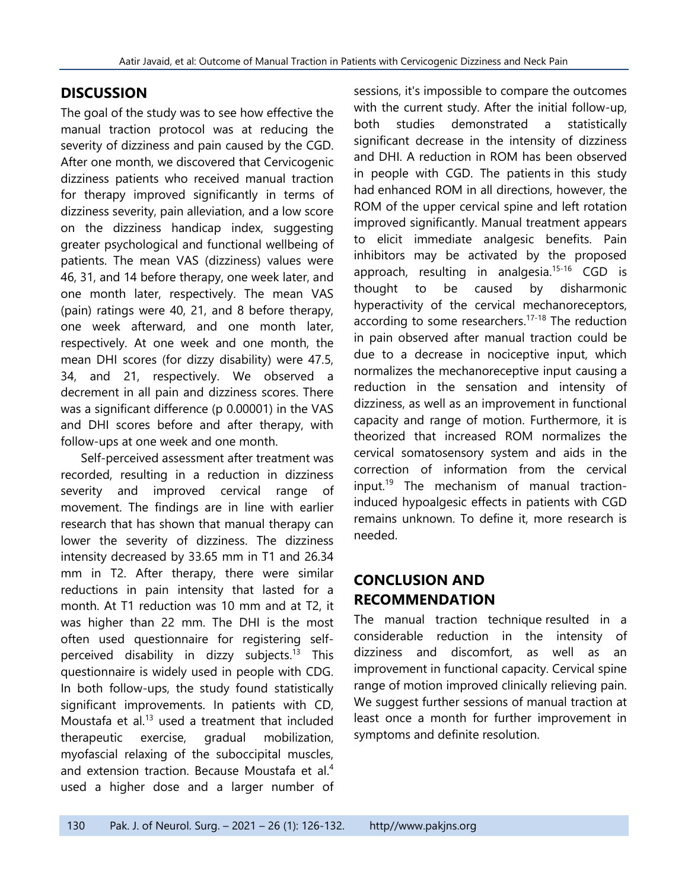# **DISCUSSION**

The goal of the study was to see how effective the manual traction protocol was at reducing the severity of dizziness and pain caused by the CGD. After one month, we discovered that Cervicogenic dizziness patients who received manual traction for therapy improved significantly in terms of dizziness severity, pain alleviation, and a low score on the dizziness handicap index, suggesting greater psychological and functional wellbeing of patients. The mean VAS (dizziness) values were 46, 31, and 14 before therapy, one week later, and one month later, respectively. The mean VAS (pain) ratings were 40, 21, and 8 before therapy, one week afterward, and one month later, respectively. At one week and one month, the mean DHI scores (for dizzy disability) were 47.5, 34, and 21, respectively. We observed a decrement in all pain and dizziness scores. There was a significant difference (p 0.00001) in the VAS and DHI scores before and after therapy, with follow-ups at one week and one month.

Self-perceived assessment after treatment was recorded, resulting in a reduction in dizziness severity and improved cervical range of movement. The findings are in line with earlier research that has shown that manual therapy can lower the severity of dizziness. The dizziness intensity decreased by 33.65 mm in T1 and 26.34 mm in T2. After therapy, there were similar reductions in pain intensity that lasted for a month. At T1 reduction was 10 mm and at T2, it was higher than 22 mm. The DHI is the most often used questionnaire for registering selfperceived disability in dizzy subjects.<sup>13</sup> This questionnaire is widely used in people with CDG. In both follow-ups, the study found statistically significant improvements. In patients with CD, Moustafa et al. $^{13}$  used a treatment that included therapeutic exercise, gradual mobilization, myofascial relaxing of the suboccipital muscles, and extension traction. Because Moustafa et al.<sup>4</sup> used a higher dose and a larger number of sessions, it's impossible to compare the outcomes with the current study. After the initial follow-up, both studies demonstrated a statistically significant decrease in the intensity of dizziness and DHI. A reduction in ROM has been observed in people with CGD. The patients in this study had enhanced ROM in all directions, however, the ROM of the upper cervical spine and left rotation improved significantly. Manual treatment appears to elicit immediate analgesic benefits. Pain inhibitors may be activated by the proposed approach, resulting in analgesia.<sup>15-16</sup> CGD is thought to be caused by disharmonic hyperactivity of the cervical mechanoreceptors, according to some researchers.<sup>17-18</sup> The reduction in pain observed after manual traction could be due to a decrease in nociceptive input, which normalizes the mechanoreceptive input causing a reduction in the sensation and intensity of dizziness, as well as an improvement in functional capacity and range of motion. Furthermore, it is theorized that increased ROM normalizes the cervical somatosensory system and aids in the correction of information from the cervical input. 19 The mechanism of manual tractioninduced hypoalgesic effects in patients with CGD remains unknown. To define it, more research is needed.

# **CONCLUSION AND RECOMMENDATION**

The manual traction technique resulted in a considerable reduction in the intensity of dizziness and discomfort, as well as an improvement in functional capacity. Cervical spine range of motion improved clinically relieving pain. We suggest further sessions of manual traction at least once a month for further improvement in symptoms and definite resolution.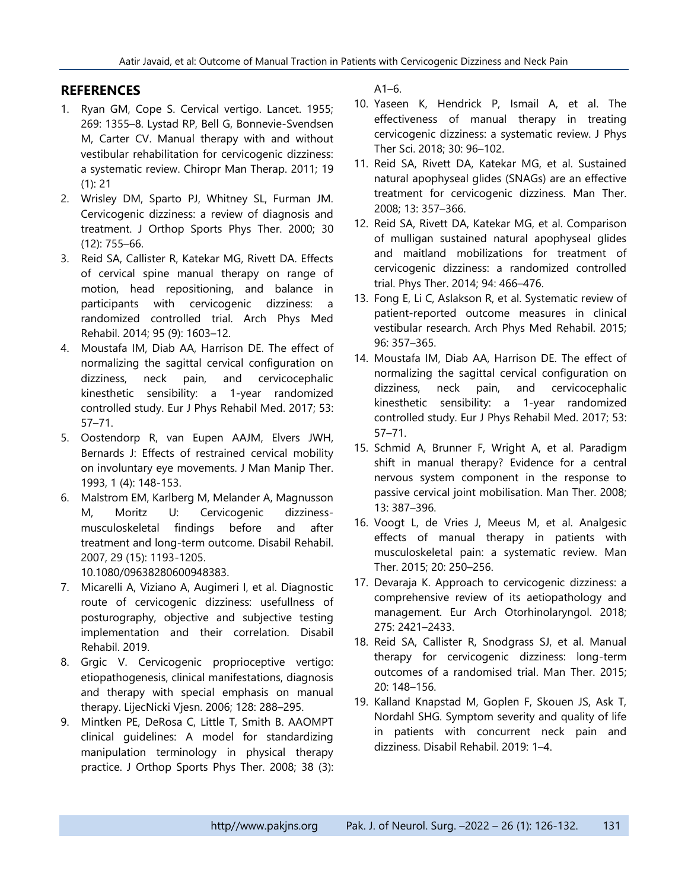#### **REFERENCES**

- 1. Ryan GM, Cope S. Cervical vertigo. Lancet. 1955; 269: 1355–8. Lystad RP, Bell G, Bonnevie-Svendsen M, Carter CV. Manual therapy with and without vestibular rehabilitation for cervicogenic dizziness: a systematic review. Chiropr Man Therap. 2011; 19 (1): 21
- 2. Wrisley DM, Sparto PJ, Whitney SL, Furman JM. Cervicogenic dizziness: a review of diagnosis and treatment. J Orthop Sports Phys Ther. 2000; 30 (12): 755–66.
- 3. Reid SA, Callister R, Katekar MG, Rivett DA. Effects of cervical spine manual therapy on range of motion, head repositioning, and balance in participants with cervicogenic dizziness: a randomized controlled trial. Arch Phys Med Rehabil. 2014; 95 (9): 1603–12.
- 4. Moustafa IM, Diab AA, Harrison DE. The effect of normalizing the sagittal cervical configuration on dizziness, neck pain, and cervicocephalic kinesthetic sensibility: a 1-year randomized controlled study. Eur J Phys Rehabil Med. 2017; 53: 57–71.
- 5. Oostendorp R, van Eupen AAJM, Elvers JWH, Bernards J: Effects of restrained cervical mobility on involuntary eye movements. J Man Manip Ther. 1993, 1 (4): 148-153.
- 6. Malstrom EM, Karlberg M, Melander A, Magnusson M, Moritz U: Cervicogenic dizzinessmusculoskeletal findings before and after treatment and long-term outcome. Disabil Rehabil. 2007, 29 (15): 1193-1205. 10.1080/09638280600948383.
- 7. Micarelli A, Viziano A, Augimeri I, et al. Diagnostic route of cervicogenic dizziness: usefullness of posturography, objective and subjective testing implementation and their correlation. Disabil Rehabil. 2019.
- 8. Grgic V. Cervicogenic proprioceptive vertigo: etiopathogenesis, clinical manifestations, diagnosis and therapy with special emphasis on manual therapy. LijecNicki Vjesn. 2006; 128: 288–295.
- 9. Mintken PE, DeRosa C, Little T, Smith B. AAOMPT clinical guidelines: A model for standardizing manipulation terminology in physical therapy practice. J Orthop Sports Phys Ther. 2008; 38 (3):

 $A1-6.$ 

- 10. Yaseen K, Hendrick P, Ismail A, et al. The effectiveness of manual therapy in treating cervicogenic dizziness: a systematic review. J Phys Ther Sci. 2018; 30: 96–102.
- 11. Reid SA, Rivett DA, Katekar MG, et al. Sustained natural apophyseal glides (SNAGs) are an effective treatment for cervicogenic dizziness. Man Ther. 2008; 13: 357–366.
- 12. Reid SA, Rivett DA, Katekar MG, et al. Comparison of mulligan sustained natural apophyseal glides and maitland mobilizations for treatment of cervicogenic dizziness: a randomized controlled trial. Phys Ther. 2014; 94: 466–476.
- 13. Fong E, Li C, Aslakson R, et al. Systematic review of patient-reported outcome measures in clinical vestibular research. Arch Phys Med Rehabil. 2015; 96: 357–365.
- 14. Moustafa IM, Diab AA, Harrison DE. The effect of normalizing the sagittal cervical configuration on dizziness, neck pain, and cervicocephalic kinesthetic sensibility: a 1-year randomized controlled study. Eur J Phys Rehabil Med. 2017; 53: 57–71.
- 15. Schmid A, Brunner F, Wright A, et al. Paradigm shift in manual therapy? Evidence for a central nervous system component in the response to passive cervical joint mobilisation. Man Ther. 2008; 13: 387–396.
- 16. Voogt L, de Vries J, Meeus M, et al. Analgesic effects of manual therapy in patients with musculoskeletal pain: a systematic review. Man Ther. 2015; 20: 250–256.
- 17. Devaraja K. Approach to cervicogenic dizziness: a comprehensive review of its aetiopathology and management. Eur Arch Otorhinolaryngol. 2018; 275: 2421–2433.
- 18. Reid SA, Callister R, Snodgrass SJ, et al. Manual therapy for cervicogenic dizziness: long-term outcomes of a randomised trial. Man Ther. 2015; 20: 148–156.
- 19. Kalland Knapstad M, Goplen F, Skouen JS, Ask T, Nordahl SHG. Symptom severity and quality of life in patients with concurrent neck pain and dizziness. Disabil Rehabil. 2019: 1–4.